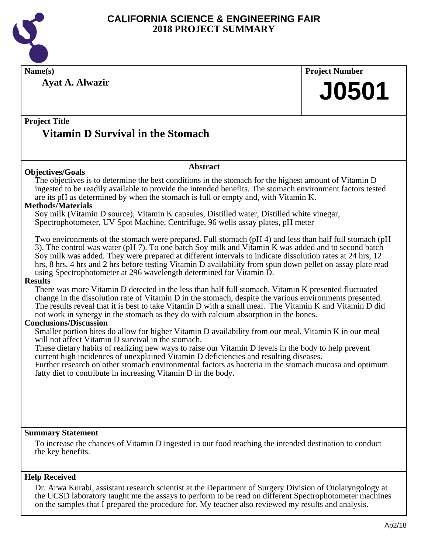

**Name(s) Project Number Project Title Abstract Summary Statement Help Received Ayat A. Alwazir Vitamin D Survival in the Stomach J0501 Objectives/Goals** The objectives is to determine the best conditions in the stomach for the highest amount of Vitamin D ingested to be readily available to provide the intended benefits. The stomach environment factors tested are its pH as determined by when the stomach is full or empty and, with Vitamin K. **Methods/Materials** Soy milk (Vitamin D source), Vitamin K capsules, Distilled water, Distilled white vinegar, Spectrophotometer, UV Spot Machine, Centrifuge, 96 wells assay plates, pH meter Two environments of the stomach were prepared. Full stomach (pH 4) and less than half full stomach (pH 3). The control was water (pH 7). To one batch Soy milk and Vitamin K was added and to second batch Soy milk was added. They were prepared at different intervals to indicate dissolution rates at 24 hrs, 12 hrs, 8 hrs, 4 hrs and 2 hrs before testing Vitamin D availability from spun down pellet on assay plate read using Spectrophotometer at 296 wavelength determined for Vitamin D. **Results** There was more Vitamin D detected in the less than half full stomach. Vitamin K presented fluctuated change in the dissolution rate of Vitamin D in the stomach, despite the various environments presented. The results reveal that it is best to take Vitamin D with a small meal. The Vitamin K and Vitamin D did not work in synergy in the stomach as they do with calcium absorption in the bones. **Conclusions/Discussion** Smaller portion bites do allow for higher Vitamin D availability from our meal. Vitamin K in our meal will not affect Vitamin D survival in the stomach. These dietary habits of realizing new ways to raise our Vitamin D levels in the body to help prevent current high incidences of unexplained Vitamin D deficiencies and resulting diseases. Further research on other stomach environmental factors as bacteria in the stomach mucosa and optimum fatty diet to contribute in increasing Vitamin D in the body. To increase the chances of Vitamin D ingested in our food reaching the intended destination to conduct the key benefits.

Dr. Arwa Kurabi, assistant research scientist at the Department of Surgery Division of Otolaryngology at the UCSD laboratory taught me the assays to perform to be read on different Spectrophotometer machines on the samples that I prepared the procedure for. My teacher also reviewed my results and analysis.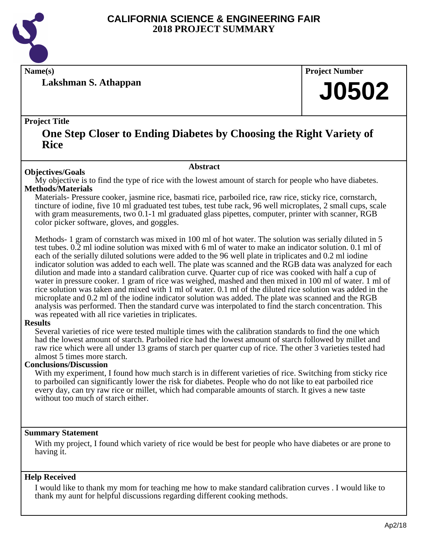

**Lakshman S. Athappan**

**Name(s) Project Number**

# **J0502**

# **Project Title**

# **One Step Closer to Ending Diabetes by Choosing the Right Variety of Rice**

# **Abstract**

**Objectives/Goals** My objective is to find the type of rice with the lowest amount of starch for people who have diabetes. **Methods/Materials**

Materials- Pressure cooker, jasmine rice, basmati rice, parboiled rice, raw rice, sticky rice, cornstarch, tincture of iodine, five 10 ml graduated test tubes, test tube rack, 96 well microplates, 2 small cups, scale with gram measurements, two 0.1-1 ml graduated glass pipettes, computer, printer with scanner, RGB color picker software, gloves, and goggles.

Methods- 1 gram of cornstarch was mixed in 100 ml of hot water. The solution was serially diluted in 5 test tubes. 0.2 ml iodine solution was mixed with 6 ml of water to make an indicator solution. 0.1 ml of each of the serially diluted solutions were added to the 96 well plate in triplicates and 0.2 ml iodine indicator solution was added to each well. The plate was scanned and the RGB data was analyzed for each dilution and made into a standard calibration curve. Quarter cup of rice was cooked with half a cup of water in pressure cooker. 1 gram of rice was weighed, mashed and then mixed in 100 ml of water. 1 ml of rice solution was taken and mixed with 1 ml of water. 0.1 ml of the diluted rice solution was added in the microplate and 0.2 ml of the iodine indicator solution was added. The plate was scanned and the RGB analysis was performed. Then the standard curve was interpolated to find the starch concentration. This was repeated with all rice varieties in triplicates.

# **Results**

Several varieties of rice were tested multiple times with the calibration standards to find the one which had the lowest amount of starch. Parboiled rice had the lowest amount of starch followed by millet and raw rice which were all under 13 grams of starch per quarter cup of rice. The other 3 varieties tested had almost 5 times more starch.

# **Conclusions/Discussion**

With my experiment, I found how much starch is in different varieties of rice. Switching from sticky rice to parboiled can significantly lower the risk for diabetes. People who do not like to eat parboiled rice every day, can try raw rice or millet, which had comparable amounts of starch. It gives a new taste without too much of starch either.

# **Summary Statement**

With my project, I found which variety of rice would be best for people who have diabetes or are prone to having it.

# **Help Received**

I would like to thank my mom for teaching me how to make standard calibration curves . I would like to thank my aunt for helpful discussions regarding different cooking methods.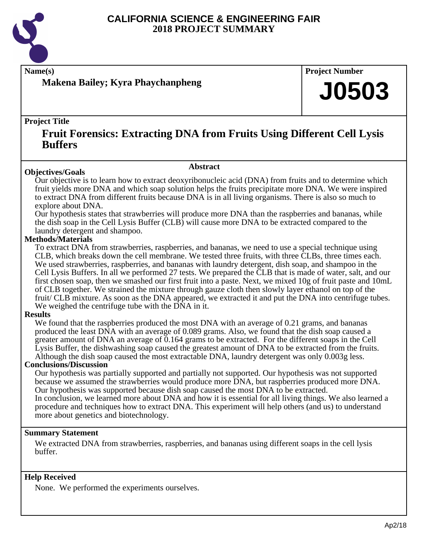

**Name(s) Project Number**

**Makena Bailey; Kyra Phaychanpheng**

# **Project Title**

# **Fruit Forensics: Extracting DNA from Fruits Using Different Cell Lysis Buffers**

### **Abstract**

Our objective is to learn how to extract deoxyribonucleic acid (DNA) from fruits and to determine which fruit yields more DNA and which soap solution helps the fruits precipitate more DNA. We were inspired to extract DNA from different fruits because DNA is in all living organisms. There is also so much to explore about DNA.

Our hypothesis states that strawberries will produce more DNA than the raspberries and bananas, while the dish soap in the Cell Lysis Buffer (CLB) will cause more DNA to be extracted compared to the laundry detergent and shampoo.

# **Methods/Materials**

**Objectives/Goals**

To extract DNA from strawberries, raspberries, and bananas, we need to use a special technique using CLB, which breaks down the cell membrane. We tested three fruits, with three CLBs, three times each. We used strawberries, raspberries, and bananas with laundry detergent, dish soap, and shampoo in the Cell Lysis Buffers. In all we performed 27 tests. We prepared the CLB that is made of water, salt, and our first chosen soap, then we smashed our first fruit into a paste. Next, we mixed 10g of fruit paste and 10mL of CLB together. We strained the mixture through gauze cloth then slowly layer ethanol on top of the fruit/ CLB mixture. As soon as the DNA appeared, we extracted it and put the DNA into centrifuge tubes. We weighed the centrifuge tube with the DNA in it.

# **Results**

We found that the raspberries produced the most DNA with an average of 0.21 grams, and bananas produced the least DNA with an average of 0.089 grams. Also, we found that the dish soap caused a greater amount of DNA an average of 0.164 grams to be extracted. For the different soaps in the Cell Lysis Buffer, the dishwashing soap caused the greatest amount of DNA to be extracted from the fruits. Although the dish soap caused the most extractable DNA, laundry detergent was only 0.003g less.

# **Conclusions/Discussion**

Our hypothesis was partially supported and partially not supported. Our hypothesis was not supported because we assumed the strawberries would produce more DNA, but raspberries produced more DNA. Our hypothesis was supported because dish soap caused the most DNA to be extracted. In conclusion, we learned more about DNA and how it is essential for all living things. We also learned a procedure and techniques how to extract DNA. This experiment will help others (and us) to understand more about genetics and biotechnology.

# **Summary Statement**

We extracted DNA from strawberries, raspberries, and bananas using different soaps in the cell lysis buffer.

# **Help Received**

None. We performed the experiments ourselves.

**J0503**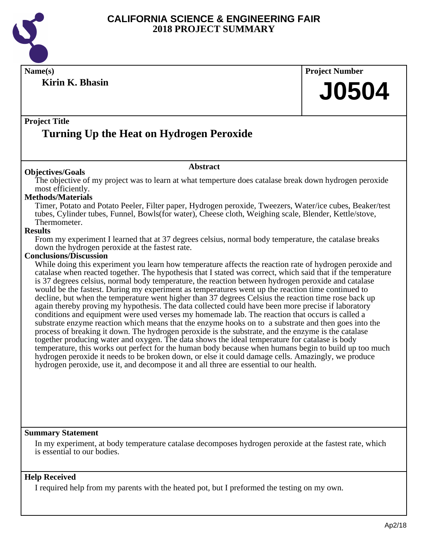

**Name(s) Project Number Project Title Abstract Summary Statement Help Received Kirin K. Bhasin Turning Up the Heat on Hydrogen Peroxide J0504 Objectives/Goals** The objective of my project was to learn at what temperture does catalase break down hydrogen peroxide most efficiently. **Methods/Materials** Timer, Potato and Potato Peeler, Filter paper, Hydrogen peroxide, Tweezers, Water/ice cubes, Beaker/test tubes, Cylinder tubes, Funnel, Bowls(for water), Cheese cloth, Weighing scale, Blender, Kettle/stove, Thermometer. **Results** From my experiment I learned that at 37 degrees celsius, normal body temperature, the catalase breaks down the hydrogen peroxide at the fastest rate. **Conclusions/Discussion** While doing this experiment you learn how temperature affects the reaction rate of hydrogen peroxide and catalase when reacted together. The hypothesis that I stated was correct, which said that if the temperature is 37 degrees celsius, normal body temperature, the reaction between hydrogen peroxide and catalase would be the fastest. During my experiment as temperatures went up the reaction time continued to decline, but when the temperature went higher than 37 degrees Celsius the reaction time rose back up again thereby proving my hypothesis. The data collected could have been more precise if laboratory conditions and equipment were used verses my homemade lab. The reaction that occurs is called a substrate enzyme reaction which means that the enzyme hooks on to a substrate and then goes into the process of breaking it down. The hydrogen peroxide is the substrate, and the enzyme is the catalase together producing water and oxygen. The data shows the ideal temperature for catalase is body temperature, this works out perfect for the human body because when humans begin to build up too much hydrogen peroxide it needs to be broken down, or else it could damage cells. Amazingly, we produce hydrogen peroxide, use it, and decompose it and all three are essential to our health. In my experiment, at body temperature catalase decomposes hydrogen peroxide at the fastest rate, which is essential to our bodies.

I required help from my parents with the heated pot, but I preformed the testing on my own.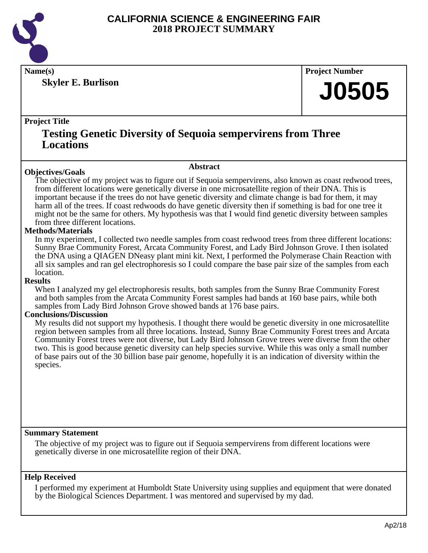

**Skyler E. Burlison**

**Name(s) Project Number**

# **J0505**

# **Project Title**

# **Testing Genetic Diversity of Sequoia sempervirens from Three Locations**

# **Abstract**

**Objectives/Goals** The objective of my project was to figure out if Sequoia sempervirens, also known as coast redwood trees, from different locations were genetically diverse in one microsatellite region of their DNA. This is important because if the trees do not have genetic diversity and climate change is bad for them, it may harm all of the trees. If coast redwoods do have genetic diversity then if something is bad for one tree it might not be the same for others. My hypothesis was that I would find genetic diversity between samples from three different locations.

# **Methods/Materials**

In my experiment, I collected two needle samples from coast redwood trees from three different locations: Sunny Brae Community Forest, Arcata Community Forest, and Lady Bird Johnson Grove. I then isolated the DNA using a QIAGEN DNeasy plant mini kit. Next, I performed the Polymerase Chain Reaction with all six samples and ran gel electrophoresis so I could compare the base pair size of the samples from each location.

# **Results**

When I analyzed my gel electrophoresis results, both samples from the Sunny Brae Community Forest and both samples from the Arcata Community Forest samples had bands at 160 base pairs, while both samples from Lady Bird Johnson Grove showed bands at 176 base pairs.

# **Conclusions/Discussion**

My results did not support my hypothesis. I thought there would be genetic diversity in one microsatellite region between samples from all three locations. Instead, Sunny Brae Community Forest trees and Arcata Community Forest trees were not diverse, but Lady Bird Johnson Grove trees were diverse from the other two. This is good because genetic diversity can help species survive. While this was only a small number of base pairs out of the 30 billion base pair genome, hopefully it is an indication of diversity within the species.

# **Summary Statement**

The objective of my project was to figure out if Sequoia sempervirens from different locations were genetically diverse in one microsatellite region of their DNA.

# **Help Received**

I performed my experiment at Humboldt State University using supplies and equipment that were donated by the Biological Sciences Department. I was mentored and supervised by my dad.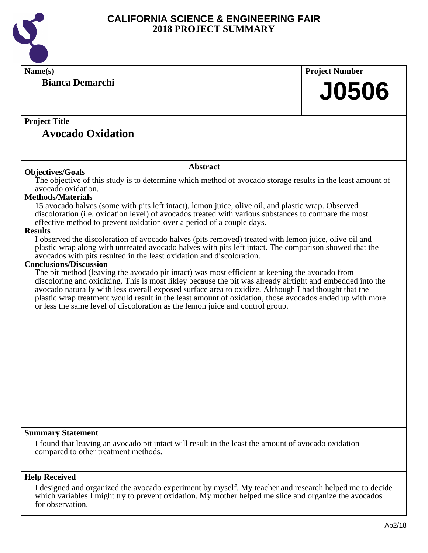

| Name(s)<br><b>Project Number</b><br><b>Bianca Demarchi</b>                                                                                                                                                  |  |  |
|-------------------------------------------------------------------------------------------------------------------------------------------------------------------------------------------------------------|--|--|
|                                                                                                                                                                                                             |  |  |
|                                                                                                                                                                                                             |  |  |
| <b>J0506</b>                                                                                                                                                                                                |  |  |
|                                                                                                                                                                                                             |  |  |
| <b>Project Title</b>                                                                                                                                                                                        |  |  |
| <b>Avocado Oxidation</b>                                                                                                                                                                                    |  |  |
|                                                                                                                                                                                                             |  |  |
|                                                                                                                                                                                                             |  |  |
| <b>Abstract</b>                                                                                                                                                                                             |  |  |
| <b>Objectives/Goals</b>                                                                                                                                                                                     |  |  |
| The objective of this study is to determine which method of avocado storage results in the least amount of<br>avocado oxidation.                                                                            |  |  |
| <b>Methods/Materials</b>                                                                                                                                                                                    |  |  |
| 15 avocado halves (some with pits left intact), lemon juice, olive oil, and plastic wrap. Observed                                                                                                          |  |  |
| discoloration (i.e. oxidation level) of avocados treated with various substances to compare the most                                                                                                        |  |  |
| effective method to prevent oxidation over a period of a couple days.<br><b>Results</b>                                                                                                                     |  |  |
| I observed the discoloration of avocado halves (pits removed) treated with lemon juice, olive oil and                                                                                                       |  |  |
| plastic wrap along with untreated avocado halves with pits left intact. The comparison showed that the                                                                                                      |  |  |
| avocados with pits resulted in the least oxidation and discoloration.                                                                                                                                       |  |  |
| <b>Conclusions/Discussion</b>                                                                                                                                                                               |  |  |
| The pit method (leaving the avocado pit intact) was most efficient at keeping the avocado from<br>discoloring and oxidizing. This is most likley because the pit was already airtight and embedded into the |  |  |
| avocado naturally with less overall exposed surface area to oxidize. Although I had thought that the                                                                                                        |  |  |
| plastic wrap treatment would result in the least amount of oxidation, those avocados ended up with more                                                                                                     |  |  |
| or less the same level of discoloration as the lemon juice and control group.                                                                                                                               |  |  |
|                                                                                                                                                                                                             |  |  |
|                                                                                                                                                                                                             |  |  |
|                                                                                                                                                                                                             |  |  |
|                                                                                                                                                                                                             |  |  |
|                                                                                                                                                                                                             |  |  |
|                                                                                                                                                                                                             |  |  |
|                                                                                                                                                                                                             |  |  |
|                                                                                                                                                                                                             |  |  |
|                                                                                                                                                                                                             |  |  |
|                                                                                                                                                                                                             |  |  |
|                                                                                                                                                                                                             |  |  |
| <b>Summary Statement</b>                                                                                                                                                                                    |  |  |
| I found that leaving an avocado pit intact will result in the least the amount of avocado oxidation                                                                                                         |  |  |
| compared to other treatment methods.                                                                                                                                                                        |  |  |
|                                                                                                                                                                                                             |  |  |
| <b>Help Received</b>                                                                                                                                                                                        |  |  |
| I designed and organized the avocado experiment by myself. My teacher and research helped me to decide                                                                                                      |  |  |
| which variables I might try to prevent oxidation. My mother helped me slice and organize the avocados<br>for observation.                                                                                   |  |  |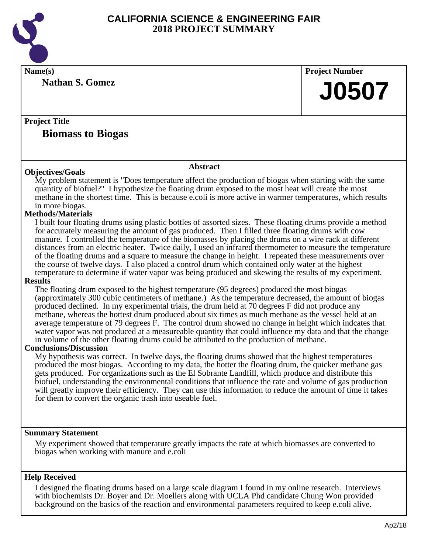

**Name(s) Project Number Nathan S. Gomez**

**J0507**

# **Project Title Biomass to Biogas**

### **Abstract**

**Objectives/Goals** My problem statement is "Does temperature affect the production of biogas when starting with the same quantity of biofuel?" I hypothesize the floating drum exposed to the most heat will create the most methane in the shortest time. This is because e.coli is more active in warmer temperatures, which results in more biogas.

# **Methods/Materials**

I built four floating drums using plastic bottles of assorted sizes. These floating drums provide a method for accurately measuring the amount of gas produced. Then I filled three floating drums with cow manure. I controlled the temperature of the biomasses by placing the drums on a wire rack at different distances from an electric heater. Twice daily, I used an infrared thermometer to measure the temperature of the floating drums and a square to measure the change in height. I repeated these measurements over the course of twelve days. I also placed a control drum which contained only water at the highest temperature to determine if water vapor was being produced and skewing the results of my experiment.

# **Results**

The floating drum exposed to the highest temperature (95 degrees) produced the most biogas (approximately 300 cubic centimeters of methane.) As the temperature decreased, the amount of biogas produced declined. In my experimental trials, the drum held at 70 degrees F did not produce any methane, whereas the hottest drum produced about six times as much methane as the vessel held at an average temperature of 79 degrees F. The control drum showed no change in height which indcates that water vapor was not produced at a measureable quantity that could influence my data and that the change in volume of the other floating drums could be attributed to the production of methane.

# **Conclusions/Discussion**

My hypothesis was correct. In twelve days, the floating drums showed that the highest temperatures produced the most biogas. According to my data, the hotter the floating drum, the quicker methane gas gets produced. For organizations such as the El Sobrante Landfill, which produce and distribute this biofuel, understanding the environmental conditions that influence the rate and volume of gas production will greatly improve their efficiency. They can use this information to reduce the amount of time it takes for them to convert the organic trash into useable fuel.

# **Summary Statement**

My experiment showed that temperature greatly impacts the rate at which biomasses are converted to biogas when working with manure and e.coli

### **Help Received**

I designed the floating drums based on a large scale diagram I found in my online research. Interviews with biochemists Dr. Boyer and Dr. Moellers along with UCLA Phd candidate Chung Won provided background on the basics of the reaction and environmental parameters required to keep e.coli alive.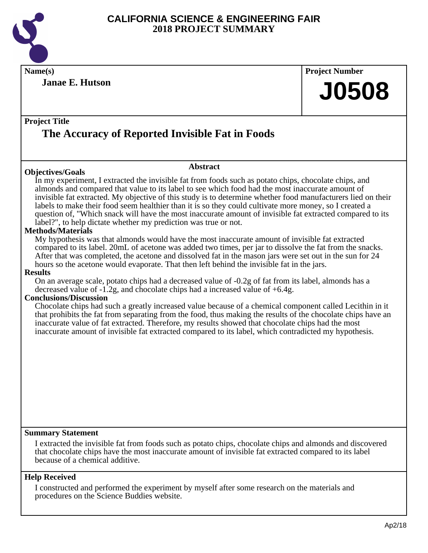

**Name(s) Project Number**

**Janae E. Hutson**

**J0508**

# **Project Title**

# **The Accuracy of Reported Invisible Fat in Foods**

# **Objectives/Goals**

# **Abstract**

In my experiment, I extracted the invisible fat from foods such as potato chips, chocolate chips, and almonds and compared that value to its label to see which food had the most inaccurate amount of invisible fat extracted. My objective of this study is to determine whether food manufacturers lied on their labels to make their food seem healthier than it is so they could cultivate more money, so I created a question of, "Which snack will have the most inaccurate amount of invisible fat extracted compared to its label?", to help dictate whether my prediction was true or not.

# **Methods/Materials**

My hypothesis was that almonds would have the most inaccurate amount of invisible fat extracted compared to its label. 20mL of acetone was added two times, per jar to dissolve the fat from the snacks. After that was completed, the acetone and dissolved fat in the mason jars were set out in the sun for 24 hours so the acetone would evaporate. That then left behind the invisible fat in the jars.

### **Results**

On an average scale, potato chips had a decreased value of -0.2g of fat from its label, almonds has a decreased value of -1.2g, and chocolate chips had a increased value of +6.4g.

# **Conclusions/Discussion**

Chocolate chips had such a greatly increased value because of a chemical component called Lecithin in it that prohibits the fat from separating from the food, thus making the results of the chocolate chips have an inaccurate value of fat extracted. Therefore, my results showed that chocolate chips had the most inaccurate amount of invisible fat extracted compared to its label, which contradicted my hypothesis.

# **Summary Statement**

I extracted the invisible fat from foods such as potato chips, chocolate chips and almonds and discovered that chocolate chips have the most inaccurate amount of invisible fat extracted compared to its label because of a chemical additive.

# **Help Received**

I constructed and performed the experiment by myself after some research on the materials and procedures on the Science Buddies website.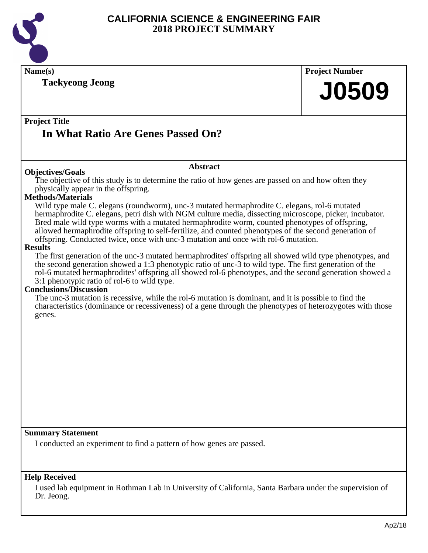

| Name(s)                                                                                                                                                                                                | <b>Project Number</b> |  |
|--------------------------------------------------------------------------------------------------------------------------------------------------------------------------------------------------------|-----------------------|--|
| <b>Taekyeong Jeong</b>                                                                                                                                                                                 |                       |  |
|                                                                                                                                                                                                        | <b>J0509</b>          |  |
|                                                                                                                                                                                                        |                       |  |
| <b>Project Title</b>                                                                                                                                                                                   |                       |  |
| In What Ratio Are Genes Passed On?                                                                                                                                                                     |                       |  |
|                                                                                                                                                                                                        |                       |  |
|                                                                                                                                                                                                        |                       |  |
| <b>Abstract</b>                                                                                                                                                                                        |                       |  |
| <b>Objectives/Goals</b><br>The objective of this study is to determine the ratio of how genes are passed on and how often they                                                                         |                       |  |
| physically appear in the offspring.                                                                                                                                                                    |                       |  |
| <b>Methods/Materials</b>                                                                                                                                                                               |                       |  |
| Wild type male C. elegans (roundworm), unc-3 mutated hermaphrodite C. elegans, rol-6 mutated                                                                                                           |                       |  |
| hermaphrodite C. elegans, petri dish with NGM culture media, dissecting microscope, picker, incubator.                                                                                                 |                       |  |
| Bred male wild type worms with a mutated hermaphrodite worm, counted phenotypes of offspring,<br>allowed hermaphrodite offspring to self-fertilize, and counted phenotypes of the second generation of |                       |  |
| offspring. Conducted twice, once with unc-3 mutation and once with rol-6 mutation.                                                                                                                     |                       |  |
| <b>Results</b>                                                                                                                                                                                         |                       |  |
| The first generation of the unc-3 mutated hermaphrodites' offspring all showed wild type phenotypes, and                                                                                               |                       |  |
| the second generation showed a 1:3 phenotypic ratio of unc-3 to wild type. The first generation of the                                                                                                 |                       |  |
| rol-6 mutated hermaphrodites' offspring all showed rol-6 phenotypes, and the second generation showed a<br>3:1 phenotypic ratio of rol-6 to wild type.                                                 |                       |  |
| <b>Conclusions/Discussion</b>                                                                                                                                                                          |                       |  |
| The unc-3 mutation is recessive, while the rol-6 mutation is dominant, and it is possible to find the                                                                                                  |                       |  |
| characteristics (dominance or recessiveness) of a gene through the phenotypes of heterozygotes with those                                                                                              |                       |  |
| genes.                                                                                                                                                                                                 |                       |  |
|                                                                                                                                                                                                        |                       |  |
|                                                                                                                                                                                                        |                       |  |
|                                                                                                                                                                                                        |                       |  |
|                                                                                                                                                                                                        |                       |  |
|                                                                                                                                                                                                        |                       |  |
|                                                                                                                                                                                                        |                       |  |
|                                                                                                                                                                                                        |                       |  |
|                                                                                                                                                                                                        |                       |  |
|                                                                                                                                                                                                        |                       |  |
|                                                                                                                                                                                                        |                       |  |
| <b>Summary Statement</b>                                                                                                                                                                               |                       |  |
| I conducted an experiment to find a pattern of how genes are passed.                                                                                                                                   |                       |  |
|                                                                                                                                                                                                        |                       |  |
|                                                                                                                                                                                                        |                       |  |
| <b>Help Received</b>                                                                                                                                                                                   |                       |  |
| I used lab equipment in Rothman Lab in University of California, Santa Barbara under the supervision of                                                                                                |                       |  |
| Dr. Jeong.                                                                                                                                                                                             |                       |  |
|                                                                                                                                                                                                        |                       |  |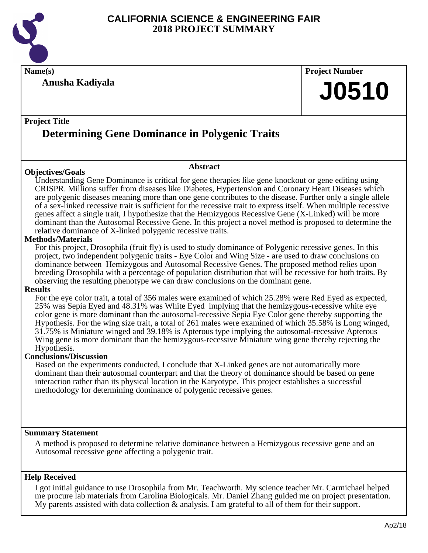

**Anusha Kadiyala**

# **Name(s) Project Number J0510**

# **Project Title**

# **Determining Gene Dominance in Polygenic Traits**

# **Objectives/Goals**

# **Abstract**

Understanding Gene Dominance is critical for gene therapies like gene knockout or gene editing using CRISPR. Millions suffer from diseases like Diabetes, Hypertension and Coronary Heart Diseases which are polygenic diseases meaning more than one gene contributes to the disease. Further only a single allele of a sex-linked recessive trait is sufficient for the recessive trait to express itself. When multiple recessive genes affect a single trait, I hypothesize that the Hemizygous Recessive Gene (X-Linked) will be more dominant than the Autosomal Recessive Gene. In this project a novel method is proposed to determine the relative dominance of X-linked polygenic recessive traits.

# **Methods/Materials**

For this project, Drosophila (fruit fly) is used to study dominance of Polygenic recessive genes. In this project, two independent polygenic traits - Eye Color and Wing Size - are used to draw conclusions on dominance between Hemizygous and Autosomal Recessive Genes. The proposed method relies upon breeding Drosophila with a percentage of population distribution that will be recessive for both traits. By observing the resulting phenotype we can draw conclusions on the dominant gene.

# **Results**

For the eye color trait, a total of 356 males were examined of which 25.28% were Red Eyed as expected, 25% was Sepia Eyed and 48.31% was White Eyed implying that the hemizygous-recessive white eye color gene is more dominant than the autosomal-recessive Sepia Eye Color gene thereby supporting the Hypothesis. For the wing size trait, a total of 261 males were examined of which 35.58% is Long winged, 31.75% is Miniature winged and 39.18% is Apterous type implying the autosomal-recessive Apterous Wing gene is more dominant than the hemizygous-recessive Miniature wing gene thereby rejecting the Hypothesis.

# **Conclusions/Discussion**

Based on the experiments conducted, I conclude that X-Linked genes are not automatically more dominant than their autosomal counterpart and that the theory of dominance should be based on gene interaction rather than its physical location in the Karyotype. This project establishes a successful methodology for determining dominance of polygenic recessive genes.

# **Summary Statement**

A method is proposed to determine relative dominance between a Hemizygous recessive gene and an Autosomal recessive gene affecting a polygenic trait.

# **Help Received**

I got initial guidance to use Drosophila from Mr. Teachworth. My science teacher Mr. Carmichael helped me procure lab materials from Carolina Biologicals. Mr. Daniel Zhang guided me on project presentation. My parents assisted with data collection & analysis. I am grateful to all of them for their support.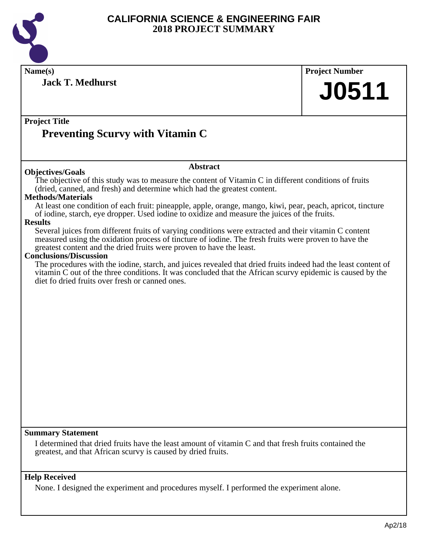

| Name(s)                                                                                                                                                                                                                    | <b>Project Number</b> |  |
|----------------------------------------------------------------------------------------------------------------------------------------------------------------------------------------------------------------------------|-----------------------|--|
| <b>Jack T. Medhurst</b>                                                                                                                                                                                                    |                       |  |
|                                                                                                                                                                                                                            | <b>J0511</b>          |  |
|                                                                                                                                                                                                                            |                       |  |
| <b>Project Title</b>                                                                                                                                                                                                       |                       |  |
| <b>Preventing Scurvy with Vitamin C</b>                                                                                                                                                                                    |                       |  |
|                                                                                                                                                                                                                            |                       |  |
|                                                                                                                                                                                                                            |                       |  |
| <b>Abstract</b><br><b>Objectives/Goals</b>                                                                                                                                                                                 |                       |  |
| The objective of this study was to measure the content of Vitamin C in different conditions of fruits<br>(dried, canned, and fresh) and determine which had the greatest content.                                          |                       |  |
| <b>Methods/Materials</b>                                                                                                                                                                                                   |                       |  |
| At least one condition of each fruit: pineapple, apple, orange, mango, kiwi, pear, peach, apricot, tincture<br>of iodine, starch, eye dropper. Used iodine to oxidize and measure the juices of the fruits.                |                       |  |
| <b>Results</b>                                                                                                                                                                                                             |                       |  |
| Several juices from different fruits of varying conditions were extracted and their vitamin C content                                                                                                                      |                       |  |
| measured using the oxidation process of tincture of iodine. The fresh fruits were proven to have the<br>greatest content and the dried fruits were proven to have the least.                                               |                       |  |
| <b>Conclusions/Discussion</b>                                                                                                                                                                                              |                       |  |
| The procedures with the iodine, starch, and juices revealed that dried fruits indeed had the least content of<br>vitamin C out of the three conditions. It was concluded that the African scurvy epidemic is caused by the |                       |  |
| diet fo dried fruits over fresh or canned ones.                                                                                                                                                                            |                       |  |
|                                                                                                                                                                                                                            |                       |  |
|                                                                                                                                                                                                                            |                       |  |
|                                                                                                                                                                                                                            |                       |  |
|                                                                                                                                                                                                                            |                       |  |
|                                                                                                                                                                                                                            |                       |  |
|                                                                                                                                                                                                                            |                       |  |
|                                                                                                                                                                                                                            |                       |  |
|                                                                                                                                                                                                                            |                       |  |
|                                                                                                                                                                                                                            |                       |  |
|                                                                                                                                                                                                                            |                       |  |
|                                                                                                                                                                                                                            |                       |  |
|                                                                                                                                                                                                                            |                       |  |
| <b>Summary Statement</b>                                                                                                                                                                                                   |                       |  |
| I determined that dried fruits have the least amount of vitamin C and that fresh fruits contained the<br>greatest, and that African scurvy is caused by dried fruits.                                                      |                       |  |
| <b>Help Received</b>                                                                                                                                                                                                       |                       |  |
| None. I designed the experiment and procedures myself. I performed the experiment alone.                                                                                                                                   |                       |  |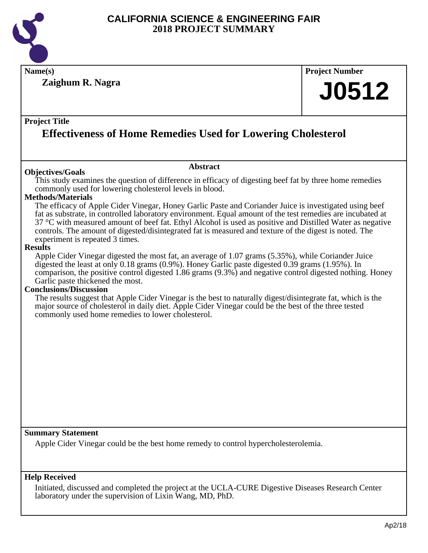

**Name(s) Project Number**

**Zaighum R. Nagra**

# **J0512**

# **Project Title**

# **Effectiveness of Home Remedies Used for Lowering Cholesterol**

# **Objectives/Goals**

This study examines the question of difference in efficacy of digesting beef fat by three home remedies commonly used for lowering cholesterol levels in blood.

**Abstract**

# **Methods/Materials**

The efficacy of Apple Cider Vinegar, Honey Garlic Paste and Coriander Juice is investigated using beef fat as substrate, in controlled laboratory environment. Equal amount of the test remedies are incubated at 37 °C with measured amount of beef fat. Ethyl Alcohol is used as positive and Distilled Water as negative controls. The amount of digested/disintegrated fat is measured and texture of the digest is noted. The experiment is repeated 3 times.

### **Results**

Apple Cider Vinegar digested the most fat, an average of 1.07 grams (5.35%), while Coriander Juice digested the least at only 0.18 grams (0.9%). Honey Garlic paste digested 0.39 grams (1.95%). In comparison, the positive control digested 1.86 grams (9.3%) and negative control digested nothing. Honey Garlic paste thickened the most.

# **Conclusions/Discussion**

The results suggest that Apple Cider Vinegar is the best to naturally digest/disintegrate fat, which is the major source of cholesterol in daily diet. Apple Cider Vinegar could be the best of the three tested commonly used home remedies to lower cholesterol.

# **Summary Statement**

Apple Cider Vinegar could be the best home remedy to control hypercholesterolemia.

# **Help Received**

Initiated, discussed and completed the project at the UCLA-CURE Digestive Diseases Research Center laboratory under the supervision of Lixin Wang, MD, PhD.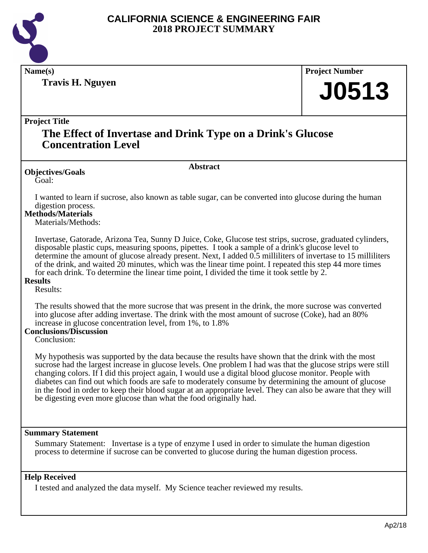

**Name(s) Project Number**

**Travis H. Nguyen**

**J0513**

# **Project Title**

# **The Effect of Invertase and Drink Type on a Drink's Glucose Concentration Level**

**Objectives/Goals**

Goal:

**Abstract**

I wanted to learn if sucrose, also known as table sugar, can be converted into glucose during the human digestion process.

# **Methods/Materials**

Materials/Methods:

Invertase, Gatorade, Arizona Tea, Sunny D Juice, Coke, Glucose test strips, sucrose, graduated cylinders, disposable plastic cups, measuring spoons, pipettes. I took a sample of a drink's glucose level to determine the amount of glucose already present. Next, I added 0.5 milliliters of invertase to 15 milliliters of the drink, and waited 20 minutes, which was the linear time point. I repeated this step 44 more times for each drink. To determine the linear time point, I divided the time it took settle by 2.

### **Results**

Results:

The results showed that the more sucrose that was present in the drink, the more sucrose was converted into glucose after adding invertase. The drink with the most amount of sucrose (Coke), had an 80% increase in glucose concentration level, from 1%, to 1.8%

### **Conclusions/Discussion**

Conclusion:

My hypothesis was supported by the data because the results have shown that the drink with the most sucrose had the largest increase in glucose levels. One problem I had was that the glucose strips were still changing colors. If I did this project again, I would use a digital blood glucose monitor. People with diabetes can find out which foods are safe to moderately consume by determining the amount of glucose in the food in order to keep their blood sugar at an appropriate level. They can also be aware that they will be digesting even more glucose than what the food originally had.

### **Summary Statement**

Summary Statement: Invertase is a type of enzyme I used in order to simulate the human digestion process to determine if sucrose can be converted to glucose during the human digestion process.

# **Help Received**

I tested and analyzed the data myself. My Science teacher reviewed my results.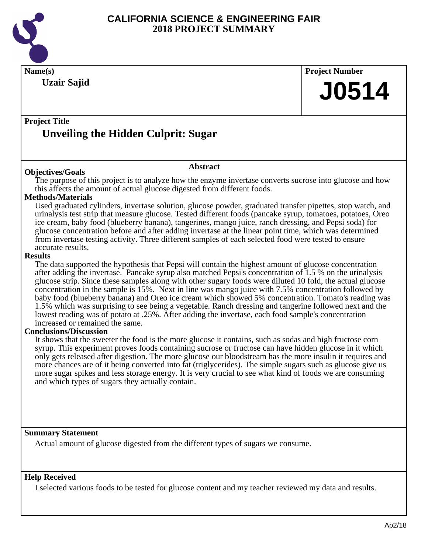

**Name(s) Project Number Project Title Abstract Uzair Sajid Unveiling the Hidden Culprit: Sugar J0514 Objectives/Goals** The purpose of this project is to analyze how the enzyme invertase converts sucrose into glucose and how this affects the amount of actual glucose digested from different foods. **Methods/Materials** Used graduated cylinders, invertase solution, glucose powder, graduated transfer pipettes, stop watch, and urinalysis test strip that measure glucose. Tested different foods (pancake syrup, tomatoes, potatoes, Oreo

ice cream, baby food (blueberry banana), tangerines, mango juice, ranch dressing, and Pepsi soda) for glucose concentration before and after adding invertase at the linear point time, which was determined from invertase testing activity. Three different samples of each selected food were tested to ensure accurate results.

#### **Results**

The data supported the hypothesis that Pepsi will contain the highest amount of glucose concentration after adding the invertase. Pancake syrup also matched Pepsi's concentration of 1.5 % on the urinalysis glucose strip. Since these samples along with other sugary foods were diluted 10 fold, the actual glucose concentration in the sample is 15%. Next in line was mango juice with 7.5% concentration followed by baby food (blueberry banana) and Oreo ice cream which showed 5% concentration. Tomato's reading was 1.5% which was surprising to see being a vegetable. Ranch dressing and tangerine followed next and the lowest reading was of potato at .25%. After adding the invertase, each food sample's concentration increased or remained the same.

### **Conclusions/Discussion**

It shows that the sweeter the food is the more glucose it contains, such as sodas and high fructose corn syrup. This experiment proves foods containing sucrose or fructose can have hidden glucose in it which only gets released after digestion. The more glucose our bloodstream has the more insulin it requires and more chances are of it being converted into fat (triglycerides). The simple sugars such as glucose give us more sugar spikes and less storage energy. It is very crucial to see what kind of foods we are consuming and which types of sugars they actually contain.

# **Summary Statement**

Actual amount of glucose digested from the different types of sugars we consume.

# **Help Received**

I selected various foods to be tested for glucose content and my teacher reviewed my data and results.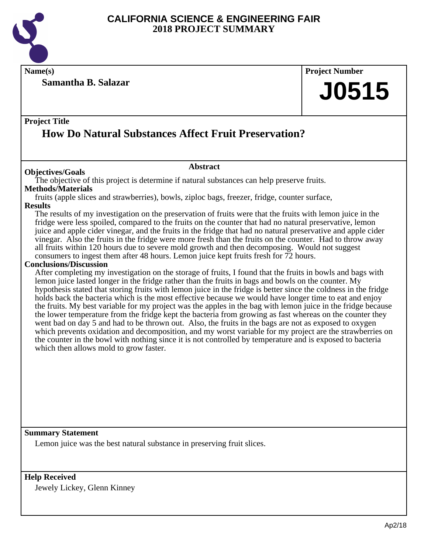

**Name(s) Project Number**

**Samantha B. Salazar**

# **Project Title**

# **How Do Natural Substances Affect Fruit Preservation?**

# **Objectives/Goals**

The objective of this project is determine if natural substances can help preserve fruits. **Methods/Materials**

fruits (apple slices and strawberries), bowls, ziploc bags, freezer, fridge, counter surface, **Results**

The results of my investigation on the preservation of fruits were that the fruits with lemon juice in the fridge were less spoiled, compared to the fruits on the counter that had no natural preservative, lemon juice and apple cider vinegar, and the fruits in the fridge that had no natural preservative and apple cider vinegar. Also the fruits in the fridge were more fresh than the fruits on the counter. Had to throw away all fruits within 120 hours due to severe mold growth and then decomposing. Would not suggest consumers to ingest them after 48 hours. Lemon juice kept fruits fresh for 72 hours.

**Abstract**

### **Conclusions/Discussion**

After completing my investigation on the storage of fruits, I found that the fruits in bowls and bags with lemon juice lasted longer in the fridge rather than the fruits in bags and bowls on the counter. My hypothesis stated that storing fruits with lemon juice in the fridge is better since the coldness in the fridge holds back the bacteria which is the most effective because we would have longer time to eat and enjoy the fruits. My best variable for my project was the apples in the bag with lemon juice in the fridge because the lower temperature from the fridge kept the bacteria from growing as fast whereas on the counter they went bad on day 5 and had to be thrown out. Also, the fruits in the bags are not as exposed to oxygen which prevents oxidation and decomposition, and my worst variable for my project are the strawberries on the counter in the bowl with nothing since it is not controlled by temperature and is exposed to bacteria which then allows mold to grow faster.

# **Summary Statement**

Lemon juice was the best natural substance in preserving fruit slices.

# **Help Received**

Jewely Lickey, Glenn Kinney

**J0515**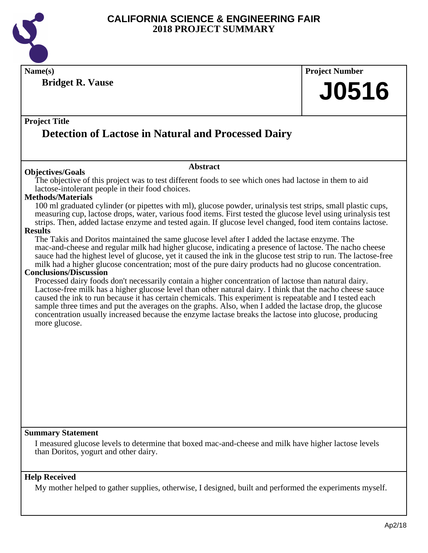

**Name(s) Project Number**

**Bridget R. Vause**

# **J0516**

# **Project Title**

# **Detection of Lactose in Natural and Processed Dairy**

# **Objectives/Goals**

The objective of this project was to test different foods to see which ones had lactose in them to aid lactose-intolerant people in their food choices.

**Abstract**

# **Methods/Materials**

100 ml graduated cylinder (or pipettes with ml), glucose powder, urinalysis test strips, small plastic cups, measuring cup, lactose drops, water, various food items. First tested the glucose level using urinalysis test strips. Then, added lactase enzyme and tested again. If glucose level changed, food item contains lactose.

# **Results**

The Takis and Doritos maintained the same glucose level after I added the lactase enzyme. The mac-and-cheese and regular milk had higher glucose, indicating a presence of lactose. The nacho cheese sauce had the highest level of glucose, yet it caused the ink in the glucose test strip to run. The lactose-free milk had a higher glucose concentration; most of the pure dairy products had no glucose concentration.

### **Conclusions/Discussion**

Processed dairy foods don't necessarily contain a higher concentration of lactose than natural dairy. Lactose-free milk has a higher glucose level than other natural dairy. I think that the nacho cheese sauce caused the ink to run because it has certain chemicals. This experiment is repeatable and I tested each sample three times and put the averages on the graphs. Also, when I added the lactase drop, the glucose concentration usually increased because the enzyme lactase breaks the lactose into glucose, producing more glucose.

# **Summary Statement**

I measured glucose levels to determine that boxed mac-and-cheese and milk have higher lactose levels than Doritos, yogurt and other dairy.

# **Help Received**

My mother helped to gather supplies, otherwise, I designed, built and performed the experiments myself.